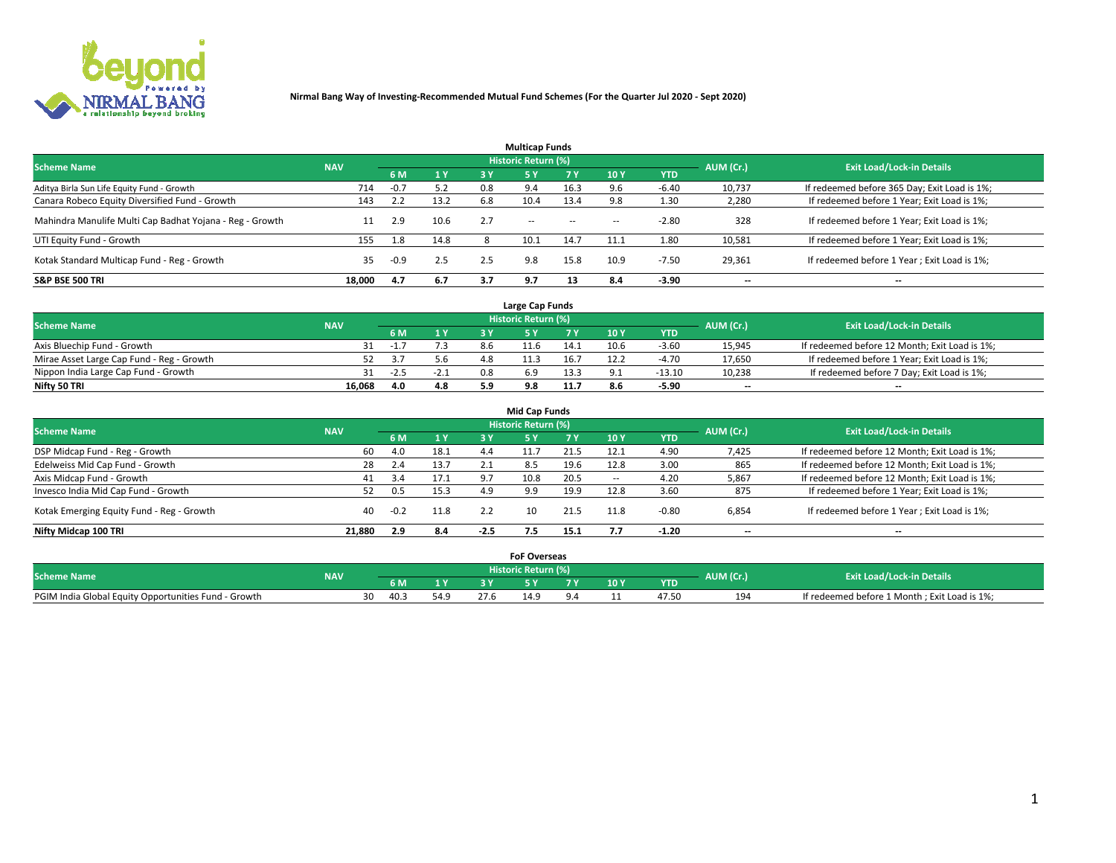

|                                                          |            |        |                |     | <b>Multicap Funds</b> |           |      |            |           |                                              |
|----------------------------------------------------------|------------|--------|----------------|-----|-----------------------|-----------|------|------------|-----------|----------------------------------------------|
| <b>Scheme Name</b>                                       | <b>NAV</b> |        |                |     | Historic Return (%)   |           |      |            | AUM (Cr.) | <b>Exit Load/Lock-in Details</b>             |
|                                                          |            | 6 M    | 1 <sub>Y</sub> | 3 Y | -5 Y                  | <b>7Y</b> | 10Y  | <b>YTD</b> |           |                                              |
| Aditya Birla Sun Life Equity Fund - Growth               | 714        | $-0.7$ | 5.2            | 0.8 | 9.4                   | 16.3      |      | -6.40      | 10,737    | If redeemed before 365 Day; Exit Load is 1%; |
| Canara Robeco Equity Diversified Fund - Growth           | 143        |        | 13.2           | 6.8 | 10.4                  | 13.4      |      | 1.30       | 2,280     | If redeemed before 1 Year; Exit Load is 1%;  |
| Mahindra Manulife Multi Cap Badhat Yojana - Reg - Growth | 11         | 2.9    | 10.6           | 2.7 | $\sim$ $-$            | $\sim$    | $-$  | $-2.80$    | 328       | If redeemed before 1 Year; Exit Load is 1%;  |
| UTI Equity Fund - Growth                                 | 155        | 1.8    | 14.8           |     | 10.1                  | 14.7      | 11.1 | 1.80       | 10,581    | If redeemed before 1 Year; Exit Load is 1%;  |
| Kotak Standard Multicap Fund - Reg - Growth              | 35         | $-0.9$ | 2.5            | 2.5 | 9.8                   | 15.8      | 10.9 | $-7.50$    | 29,361    | If redeemed before 1 Year; Exit Load is 1%;  |
| <b>S&amp;P BSE 500 TRI</b>                               | 18.000     | 4.7    | 6.7            | 3.7 | 9.7                   |           | 8.4  | $-3.90$    | --        | $- -$                                        |

|                                           |            |        |              |     | Large Cap Funds     |      |      |            |                          |                                               |
|-------------------------------------------|------------|--------|--------------|-----|---------------------|------|------|------------|--------------------------|-----------------------------------------------|
| <b>Scheme Name</b>                        | <b>NAV</b> |        |              |     | Historic Return (%) |      |      |            | AUM (Cr.)                | <b>Exit Load/Lock-in Details</b>              |
|                                           |            | 6 M    | $\sqrt{1}$ Y |     |                     |      | 10 Y | <b>YTD</b> |                          |                                               |
| Axis Bluechip Fund - Growth               |            | - 1.   |              | 8.6 |                     | 14.1 | 10.6 | $-3.60$    | 15,945                   | If redeemed before 12 Month; Exit Load is 1%; |
| Mirae Asset Large Cap Fund - Reg - Growth |            |        | 5.6          | 4.8 |                     | 16.7 | 12.2 | -4.70      | 17,650                   | If redeemed before 1 Year; Exit Load is 1%;   |
| Nippon India Large Cap Fund - Growth      |            | $-2.5$ | $-2.1$       | 0.8 |                     | 13.3 |      | $-13.10$   | 10,238                   | If redeemed before 7 Day; Exit Load is 1%;    |
| Nifty 50 TRI                              | 16.068     | 4.0    | 4.8          |     |                     |      |      | $-5.90$    | $\overline{\phantom{a}}$ | $- -$                                         |

| <b>Mid Cap Funds</b>                      |            |       |      |        |                     |      |                 |            |                          |                                               |  |  |  |  |
|-------------------------------------------|------------|-------|------|--------|---------------------|------|-----------------|------------|--------------------------|-----------------------------------------------|--|--|--|--|
| <b>Scheme Name</b>                        | <b>NAV</b> |       |      |        | Historic Return (%) |      |                 |            | AUM (Cr.)                | <b>Exit Load/Lock-in Details</b>              |  |  |  |  |
|                                           |            | 6 M   | 1Y   | 3 Y    | .5 Y                |      | 10 <sub>Y</sub> | <b>YTD</b> |                          |                                               |  |  |  |  |
| DSP Midcap Fund - Reg - Growth            | 60         | 4.0   | 18.1 | 4.4    |                     | 21.5 | 12.1            | 4.90       | 7,425                    | If redeemed before 12 Month; Exit Load is 1%; |  |  |  |  |
| Edelweiss Mid Cap Fund - Growth           | 28         | 2.4   | 13.7 | 2.1    | 8.5                 | 19.6 | 12.8            | 3.00       | 865                      | If redeemed before 12 Month; Exit Load is 1%; |  |  |  |  |
| Axis Midcap Fund - Growth                 | 41         | 3.4   | 17.1 | 9.7    | 10.8                | 20.5 | $\sim$          | 4.20       | 5,867                    | If redeemed before 12 Month; Exit Load is 1%; |  |  |  |  |
| Invesco India Mid Cap Fund - Growth       | 52         | ل 0.5 | 15.3 | 4.9    | 9.9                 | 19.9 | 12.8            | 3.60       | 875                      | If redeemed before 1 Year; Exit Load is 1%;   |  |  |  |  |
| Kotak Emerging Equity Fund - Reg - Growth | 40         |       | 11.8 | 2.2    | 10                  | 21.5 | 11.8            | -0.80      | 6,854                    | If redeemed before 1 Year; Exit Load is 1%;   |  |  |  |  |
| Nifty Midcap 100 TRI                      | 21.880     | 2.9   | 8.4  | $-2.5$ |                     | 15.1 |                 | $-1.20$    | $\overline{\phantom{a}}$ | $\overline{\phantom{a}}$                      |  |  |  |  |

|                                                      |            |      |                |      | <b>FoF Overseas</b> |          |        |            |                                  |                                              |
|------------------------------------------------------|------------|------|----------------|------|---------------------|----------|--------|------------|----------------------------------|----------------------------------------------|
| <b>Scheme Name</b>                                   | <b>NAV</b> |      |                |      | Historic Return (%) |          |        | AUM (Cr.)  | <b>Exit Load/Lock-in Details</b> |                                              |
|                                                      |            | 6 M  | 1 <sub>V</sub> |      |                     |          | $-10Y$ | <b>YTD</b> |                                  |                                              |
| PGIM India Global Equity Opportunities Fund - Growth |            | 40.3 | 54.9           | 27.6 | 14.9                | $\Omega$ |        | 47.50      | 194                              | If redeemed before 1 Month; Exit Load is 1%; |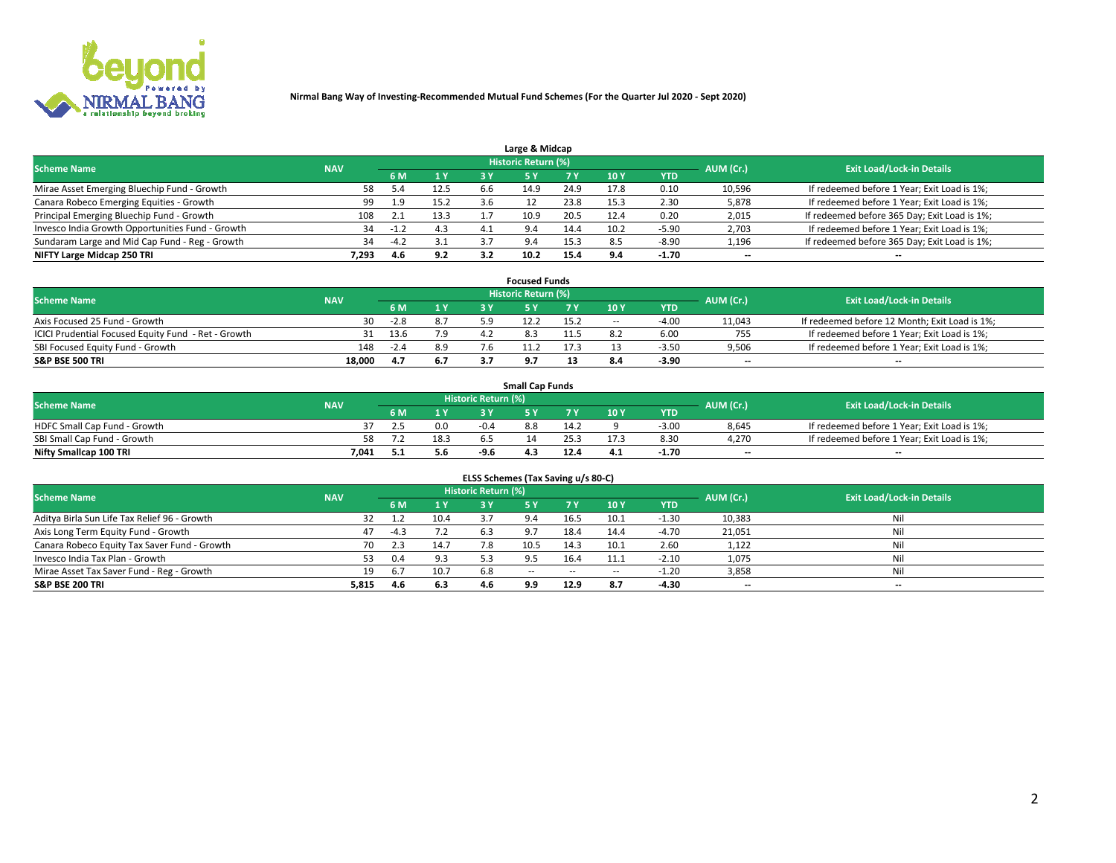

| Large & Midcap                                   |            |        |      |     |                            |      |      |         |                          |                                              |  |  |  |  |
|--------------------------------------------------|------------|--------|------|-----|----------------------------|------|------|---------|--------------------------|----------------------------------------------|--|--|--|--|
| <b>Scheme Name</b>                               | <b>NAV</b> |        |      |     | <b>Historic Return (%)</b> |      |      |         | AUM (Cr.)                | <b>Exit Load/Lock-in Details</b>             |  |  |  |  |
|                                                  |            | 6 M    | 1Y   | 3 Y |                            | 7 V  | 10Y  | YTD     |                          |                                              |  |  |  |  |
| Mirae Asset Emerging Bluechip Fund - Growth      | 58         | -5.4   | 12.5 | b.b | 14.9                       | 24.9 | 17.8 | 0.10    | 10,596                   | If redeemed before 1 Year; Exit Load is 1%;  |  |  |  |  |
| Canara Robeco Emerging Equities - Growth         | 99         | 1.9    | 15.2 |     |                            | 23.8 | 15.3 | 2.30    | 5,878                    | If redeemed before 1 Year; Exit Load is 1%;  |  |  |  |  |
| Principal Emerging Bluechip Fund - Growth        | 108        | 2.1    | 13.3 |     | 10.9                       | 20.5 | 12.4 | 0.20    | 2,015                    | If redeemed before 365 Day; Exit Load is 1%; |  |  |  |  |
| Invesco India Growth Opportunities Fund - Growth | 34         |        | 4.3  |     | 9.4                        | 14.4 | 10.2 | -5.90   | 2,703                    | If redeemed before 1 Year; Exit Load is 1%;  |  |  |  |  |
| Sundaram Large and Mid Cap Fund - Reg - Growth   | 34         | $-4.2$ | 3.1  |     | 9.4                        | 15.3 |      | $-8.90$ | 1,196                    | If redeemed before 365 Day; Exit Load is 1%; |  |  |  |  |
| NIFTY Large Midcap 250 TRI                       | 7.293      | 4.6    | 9.2  | 3.2 |                            | 15.4 |      | -1.70   | $\overline{\phantom{a}}$ | $- -$                                        |  |  |  |  |

|                                                     |            |        |     |     | <b>Focused Funds</b>       |      |        |            |                          |                                               |
|-----------------------------------------------------|------------|--------|-----|-----|----------------------------|------|--------|------------|--------------------------|-----------------------------------------------|
| <b>Scheme Name</b>                                  | <b>NAV</b> |        |     |     | <b>Historic Return (%)</b> |      |        |            | AUM (Cr.)                | <b>Exit Load/Lock-in Details</b>              |
|                                                     |            | 6 M    | 1 Y |     |                            |      | 10 Y   | <b>YTD</b> |                          |                                               |
| Axis Focused 25 Fund - Growth                       | 30         | $-2.8$ | 8.7 | ב ט |                            | 15.2 | $\sim$ | $-4.0$     | 11,043                   | If redeemed before 12 Month; Exit Load is 1%; |
| ICICI Prudential Focused Equity Fund - Ret - Growth | 31         | 13.6   | 7.9 | 4.2 |                            |      |        | 6.00       | 755                      | If redeemed before 1 Year; Exit Load is 1%;   |
| SBI Focused Equity Fund - Growth                    | 148        | $-2.4$ | 8.9 |     |                            |      |        | $-3.5c$    | 9,506                    | If redeemed before 1 Year; Exit Load is 1%;   |
| S&P BSE 500 TRI                                     | 18,000     |        | 6.7 |     |                            |      |        | $-3.90$    | $\overline{\phantom{a}}$ | $- -$                                         |

| <b>Small Cap Funds</b>       |            |     |      |                     |     |      |                 |            |           |                                             |  |  |  |
|------------------------------|------------|-----|------|---------------------|-----|------|-----------------|------------|-----------|---------------------------------------------|--|--|--|
| <b>Scheme Name</b>           | <b>NAV</b> |     |      | Historic Return (%) |     |      |                 |            | AUM (Cr.) | <b>Exit Load/Lock-in Details</b>            |  |  |  |
|                              |            | 6 M | 1 Y  |                     |     |      | 10 <sub>Y</sub> | <b>YTD</b> |           |                                             |  |  |  |
| HDFC Small Cap Fund - Growth |            |     | 0.0  | $-0.4$              | 8.8 | 14.2 |                 | $-3.00$    | 8,645     | If redeemed before 1 Year; Exit Load is 1%; |  |  |  |
| SBI Small Cap Fund - Growth  |            |     | 18.3 |                     |     |      |                 | 8.30       | 4.270     | If redeemed before 1 Year; Exit Load is 1%; |  |  |  |
| Nifty Smallcap 100 TRI       | 7.041      |     | 5.6  | -9.6                | 4.3 | 12.4 | 4.1             | $-1.70$    | $-$       | $- -$                                       |  |  |  |

| ELSS Schemes (Tax Saving u/s 80-C)           |            |        |      |                            |            |           |                          |            |                          |                                  |  |  |  |
|----------------------------------------------|------------|--------|------|----------------------------|------------|-----------|--------------------------|------------|--------------------------|----------------------------------|--|--|--|
| <b>Scheme Name</b>                           | <b>NAV</b> |        |      | <b>Historic Return (%)</b> |            |           |                          |            | AUM (Cr.)                | <b>Exit Load/Lock-in Details</b> |  |  |  |
|                                              |            | - 6 M  | 1 Y  | 3 Y                        | <b>5Y</b>  | <b>7Y</b> | 10Y                      | <b>YTD</b> |                          |                                  |  |  |  |
| Aditya Birla Sun Life Tax Relief 96 - Growth | 32         | 1.2    | 10.4 |                            |            | 16.5      | 10.1                     | $-1.30$    | 10,383                   | Nil                              |  |  |  |
| Axis Long Term Equity Fund - Growth          | 47         | $-4.3$ | 7.2  | 6.3                        |            | 18.4      | 14.4                     | $-4.70$    | 21,051                   | Nil                              |  |  |  |
| Canara Robeco Equity Tax Saver Fund - Growth | 70         | 2.3    | 14.7 |                            | 10.5       | 14.3      | 10.1                     | 2.60       | 1,122                    | Nil                              |  |  |  |
| Invesco India Tax Plan - Growth              | 53         | 0.4    | 9.3  |                            |            | 16.4      | 11.1                     | $-2.10$    | 1,075                    | Nil                              |  |  |  |
| Mirae Asset Tax Saver Fund - Reg - Growth    | 19         | 6.7    | 10.7 | 6.8                        | $\sim$ $-$ | $\sim$    | $\overline{\phantom{a}}$ | $-1.20$    | 3,858                    | Nil                              |  |  |  |
| S&P BSE 200 TRI                              | 5,815      | 4.6    | 6.3  | 4.6                        | 9.9        | 12.9      | 8.7                      | $-4.30$    | $\overline{\phantom{a}}$ | $- -$                            |  |  |  |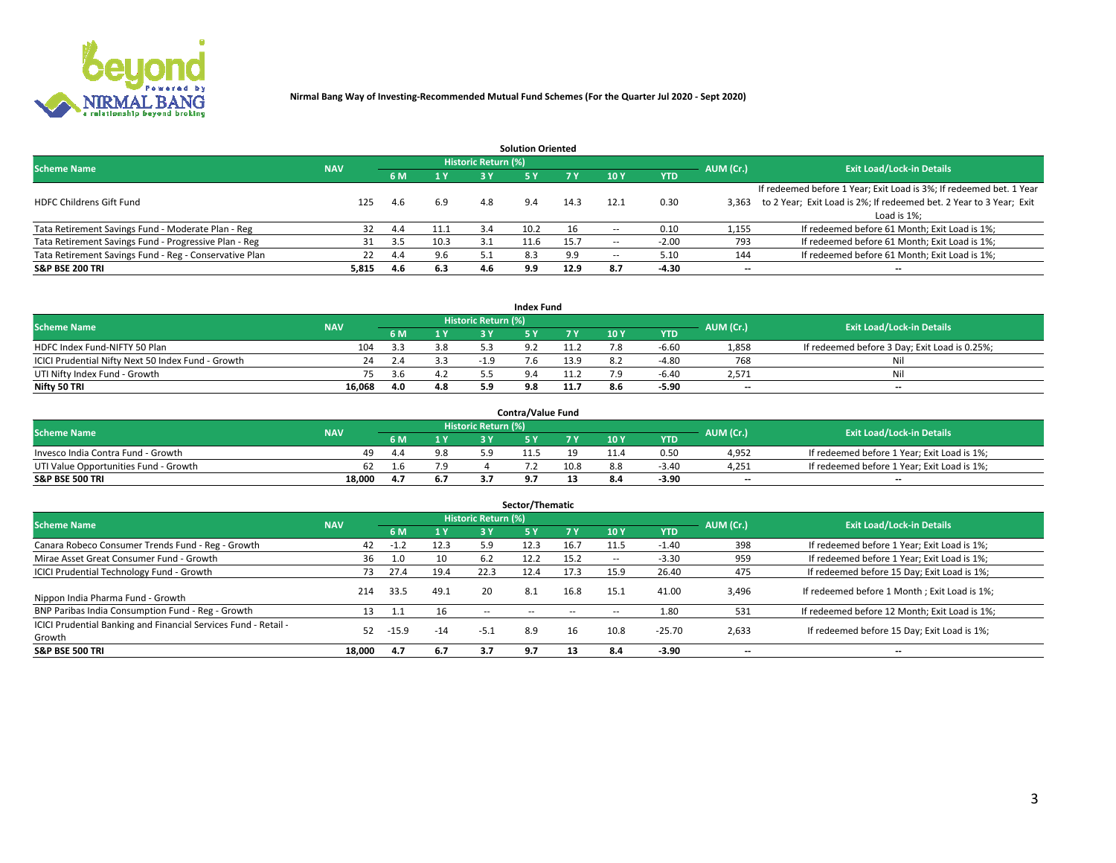

|                                                        |            |            |      |                            | <b>Solution Oriented</b> |      |                          |            |                          |                                                                     |
|--------------------------------------------------------|------------|------------|------|----------------------------|--------------------------|------|--------------------------|------------|--------------------------|---------------------------------------------------------------------|
| <b>Scheme Name</b>                                     | <b>NAV</b> |            |      | <b>Historic Return (%)</b> |                          |      |                          |            | AUM (Cr.)                | <b>Exit Load/Lock-in Details</b>                                    |
|                                                        |            | <b>6 M</b> | 1 Y  | 3 Y                        |                          |      | 10Y                      | <b>YTD</b> |                          |                                                                     |
|                                                        |            |            |      |                            |                          |      |                          |            |                          | If redeemed before 1 Year; Exit Load is 3%; If redeemed bet. 1 Year |
| <b>HDFC Childrens Gift Fund</b>                        | 125        | 4.6        | 6.9  | 4.8                        | 9.4                      | 14.3 | 12.1                     | 0.30       | 3.363                    | to 2 Year; Exit Load is 2%; If redeemed bet. 2 Year to 3 Year; Exit |
|                                                        |            |            |      |                            |                          |      |                          |            |                          | Load is 1%;                                                         |
| Tata Retirement Savings Fund - Moderate Plan - Reg     | 32         | 4.4        | 11.1 | 3.4                        | 10.2                     | 16   |                          | 0.10       | 1,155                    | If redeemed before 61 Month; Exit Load is 1%;                       |
| Tata Retirement Savings Fund - Progressive Plan - Reg  | 31         | 3.5        | 10.3 |                            | 11.6                     | 15.7 | $\overline{\phantom{a}}$ | $-2.00$    | 793                      | If redeemed before 61 Month; Exit Load is 1%;                       |
| Tata Retirement Savings Fund - Reg - Conservative Plan | 22         | 4.4        | 9.6  |                            | 8.3                      | 9.9  | --                       | 5.10       | 144                      | If redeemed before 61 Month; Exit Load is 1%;                       |
| S&P BSE 200 TRI                                        | 5,815      | 4.6        | 6.3  | 4.6                        | 9.9                      | 12.9 | 8.7                      | $-4.30$    | $\overline{\phantom{a}}$ | $- -$                                                               |

|                                                    |            |                              |                            | <b>Index Fund</b> |             |      |            |                          |                                               |
|----------------------------------------------------|------------|------------------------------|----------------------------|-------------------|-------------|------|------------|--------------------------|-----------------------------------------------|
| <b>Scheme Name</b>                                 | <b>NAV</b> |                              | <b>Historic Return (%)</b> |                   |             |      |            | AUM (Cr.)                | <b>Exit Load/Lock-in Details</b>              |
|                                                    |            | $\triangleq$ $\triangledown$ | 2 V                        |                   | 7 V         | 10 Y | <b>YTD</b> |                          |                                               |
| HDFC Index Fund-NIFTY 50 Plan                      | 104        | 3.8                          |                            |                   |             |      | $-6.60$    | 1,858                    | If redeemed before 3 Day; Exit Load is 0.25%; |
| ICICI Prudential Nifty Next 50 Index Fund - Growth | 24         |                              | -19                        | h                 | 13.9        |      | -4.80      | 768                      | Nil                                           |
| UTI Nifty Index Fund - Growth                      |            |                              |                            |                   | <b>11.4</b> |      | $-6.40$    | 2,571                    | Nil                                           |
| Nifty 50 TRI                                       | 16,068     | 4.8                          |                            |                   | 11.7        | 8.6  | $-5.90$    | $\overline{\phantom{a}}$ | $- -$                                         |

|                                       |            |     |                            | <b>Contra/Value Fund</b> |      |      |            |                          |                                             |
|---------------------------------------|------------|-----|----------------------------|--------------------------|------|------|------------|--------------------------|---------------------------------------------|
| <b>Scheme Name</b>                    | <b>NAV</b> |     | <b>Historic Return (%)</b> |                          |      |      |            | AUM (Cr.)                | <b>Exit Load/Lock-in Details</b>            |
|                                       |            | 1 V |                            |                          | 7 V  | 10Y  | <b>YTD</b> |                          |                                             |
| Invesco India Contra Fund - Growth    | 49         | 9.8 |                            |                          |      | 11.4 | 0.50       | 4,952                    | If redeemed before 1 Year; Exit Load is 1%; |
| UTI Value Opportunities Fund - Growth | 62         | ہ 7 |                            |                          | 10.8 |      | $-3.4C$    | 4,251                    | If redeemed before 1 Year; Exit Load is 1%; |
| <b>S&amp;P BSE 500 TRI</b>            | 18.000     |     |                            |                          |      |      | $-3.90$    | $\overline{\phantom{a}}$ | $- -$                                       |

| Sector/Thematic                                                           |            |         |                |                            |            |           |        |            |           |                                               |  |  |  |
|---------------------------------------------------------------------------|------------|---------|----------------|----------------------------|------------|-----------|--------|------------|-----------|-----------------------------------------------|--|--|--|
| <b>Scheme Name</b>                                                        | <b>NAV</b> |         |                | <b>Historic Return (%)</b> |            |           |        |            | AUM (Cr.) | <b>Exit Load/Lock-in Details</b>              |  |  |  |
|                                                                           |            | 6 M     | 4 <sub>Y</sub> | 3 Y                        | <b>5Y</b>  | <b>7Y</b> | 10Y    | <b>YTD</b> |           |                                               |  |  |  |
| Canara Robeco Consumer Trends Fund - Reg - Growth                         | 42         | $-1.2$  | 12.3           | 5.9                        | 12.3       | 16.7      | 11.5   | $-1.40$    | 398       | If redeemed before 1 Year; Exit Load is 1%;   |  |  |  |
| Mirae Asset Great Consumer Fund - Growth                                  | 36         | 1.0     | 10             | 6.2                        | 12.2       | 15.2      | $\sim$ | $-3.30$    | 959       | If redeemed before 1 Year; Exit Load is 1%;   |  |  |  |
| <b>ICICI Prudential Technology Fund - Growth</b>                          | 73.        | 27.4    | 19.4           | 22.3                       | 12.4       | 17.3      | 15.9   | 26.40      | 475       | If redeemed before 15 Day; Exit Load is 1%;   |  |  |  |
| Nippon India Pharma Fund - Growth                                         | 214        | 33.5    | 49.1           | 20                         | 8.1        | 16.8      | 15.1   | 41.00      | 3,496     | If redeemed before 1 Month; Exit Load is 1%;  |  |  |  |
| BNP Paribas India Consumption Fund - Reg - Growth                         | 13         | 1.1     | 16             | $\sim$ $-$                 | $\sim$ $-$ | $\sim$    | $\sim$ | 1.80       | 531       | If redeemed before 12 Month; Exit Load is 1%; |  |  |  |
| ICICI Prudential Banking and Financial Services Fund - Retail -<br>Growth | 52         | $-15.9$ | $-14$          | $-5.1$                     | 8.9        | 16        | 10.8   | $-25.70$   | 2,633     | If redeemed before 15 Day; Exit Load is 1%;   |  |  |  |
| S&P BSE 500 TRI                                                           | 18.000     | 4.7     | 6.7            | 3.7                        | 9.7        | 13        | 8.4    | $-3.90$    | --        | $- -$                                         |  |  |  |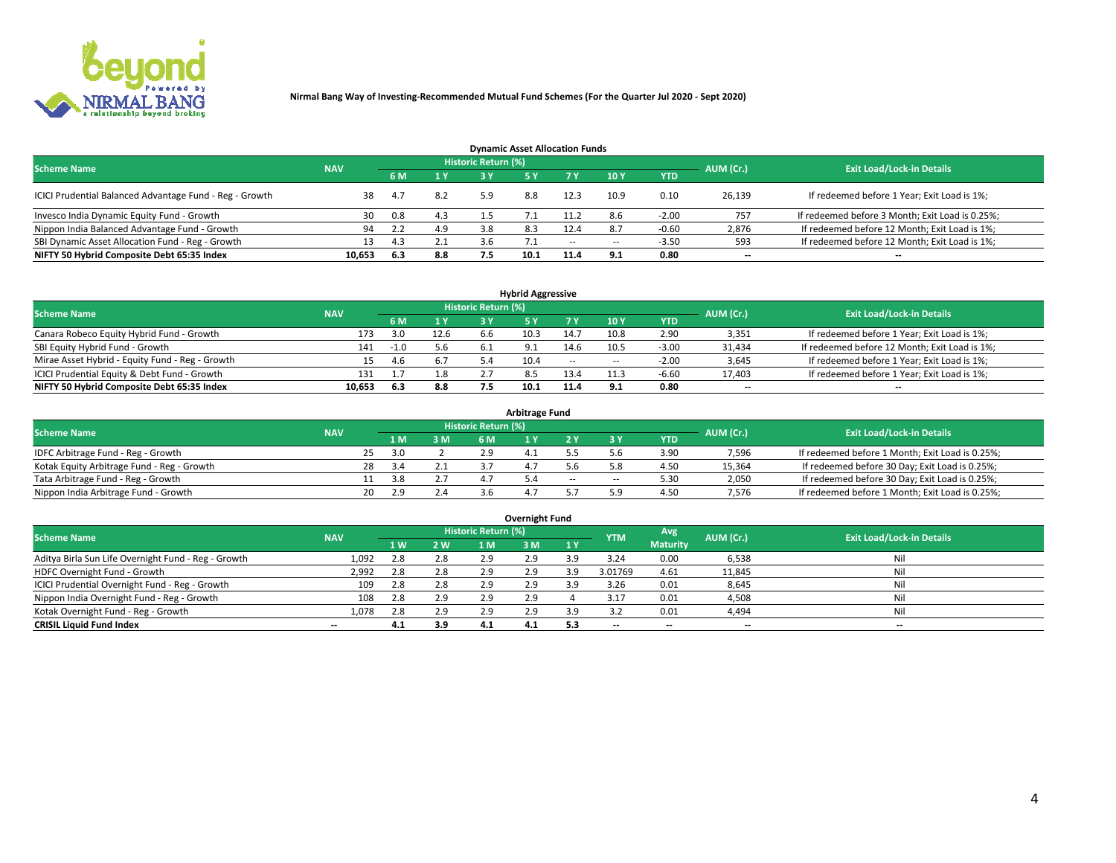

| <b>Dynamic Asset Allocation Funds</b>                   |                                                                             |     |     |     |      |        |      |            |                          |                                                 |  |  |  |  |  |
|---------------------------------------------------------|-----------------------------------------------------------------------------|-----|-----|-----|------|--------|------|------------|--------------------------|-------------------------------------------------|--|--|--|--|--|
|                                                         | <b>Historic Return (%)</b><br>AUM (Cr.)<br><b>Scheme Name</b><br><b>NAV</b> |     |     |     |      |        |      |            |                          |                                                 |  |  |  |  |  |
|                                                         |                                                                             |     | 1 Y | 3 Y |      |        | 10Y  | <b>YTD</b> |                          | <b>Exit Load/Lock-in Details</b>                |  |  |  |  |  |
| ICICI Prudential Balanced Advantage Fund - Reg - Growth | 38                                                                          | 4.7 | 8.2 | 5.9 | 8.8  | 12.3   | 10.9 | 0.10       | 26,139                   | If redeemed before 1 Year; Exit Load is 1%;     |  |  |  |  |  |
| Invesco India Dynamic Equity Fund - Growth              | 30                                                                          | 0.8 | 4.3 | 1.5 |      | 11.2   | 8.6  | $-2.00$    | 757                      | If redeemed before 3 Month; Exit Load is 0.25%; |  |  |  |  |  |
| Nippon India Balanced Advantage Fund - Growth           | 94                                                                          | 2.2 | 4.9 |     | 8.3  | 12.4   |      | $-0.60$    | 2,876                    | If redeemed before 12 Month; Exit Load is 1%;   |  |  |  |  |  |
| SBI Dynamic Asset Allocation Fund - Reg - Growth        |                                                                             | 4.3 | 2.1 |     |      | $\sim$ | --   | $-3.50$    | 593                      | If redeemed before 12 Month; Exit Load is 1%;   |  |  |  |  |  |
| NIFTY 50 Hybrid Composite Debt 65:35 Index              | 10,653                                                                      | 6.3 | 8.8 |     | 10.1 | 11.4   | 9.1  | 0.80       | $\overline{\phantom{a}}$ | $- -$                                           |  |  |  |  |  |

| <b>Hybrid Aggressive</b>                        |            |                                  |                         |     |      |            |                          |            |        |                                               |  |  |  |  |
|-------------------------------------------------|------------|----------------------------------|-------------------------|-----|------|------------|--------------------------|------------|--------|-----------------------------------------------|--|--|--|--|
| <b>Scheme Name</b>                              | AUM (Cr.)  | <b>Exit Load/Lock-in Details</b> |                         |     |      |            |                          |            |        |                                               |  |  |  |  |
|                                                 | <b>NAV</b> |                                  | $\mathbf{A} \mathbf{v}$ | 2 V |      |            | <b>10Y</b>               | <b>YTD</b> |        |                                               |  |  |  |  |
| Canara Robeco Equity Hybrid Fund - Growth       | 173        | 3.0                              | 12.6                    | 6.6 | 10.3 | 14.7       | 10.8                     | 2.90       | 3,351  | If redeemed before 1 Year; Exit Load is 1%;   |  |  |  |  |
| SBI Equity Hybrid Fund - Growth                 | 141        | $-1.0$                           | 5.6                     |     |      | 14.6       | 10.5                     | $-3.00$    | 31,434 | If redeemed before 12 Month; Exit Load is 1%; |  |  |  |  |
| Mirae Asset Hybrid - Equity Fund - Reg - Growth | 15.        | 4.D                              |                         |     | 10.4 | $\sim$ $-$ | $\overline{\phantom{a}}$ | $-2.00$    | 3,645  | If redeemed before 1 Year; Exit Load is 1%;   |  |  |  |  |
| ICICI Prudential Equity & Debt Fund - Growth    | 131        |                                  | 1.8                     |     |      | 13.4       |                          | $-6.60$    | 17,403 | If redeemed before 1 Year; Exit Load is 1%;   |  |  |  |  |
| NIFTY 50 Hybrid Composite Debt 65:35 Index      | 10.653     | 6.3                              | 8.8                     |     | 10.1 |            |                          | 0.80       | --     | $- -$                                         |  |  |  |  |

| <b>Arbitrage Fund</b>                      |                                                         |    |      |           |     |  |    |        |            |           |                                                 |  |  |  |
|--------------------------------------------|---------------------------------------------------------|----|------|-----------|-----|--|----|--------|------------|-----------|-------------------------------------------------|--|--|--|
|                                            | Historic Return (%)<br><b>Scheme Name</b><br><b>NAV</b> |    |      |           |     |  |    |        |            |           |                                                 |  |  |  |
|                                            |                                                         |    | 1 M. | 3 M       | 6 M |  |    |        | <b>YTD</b> | AUM (Cr.) | <b>Exit Load/Lock-in Details</b>                |  |  |  |
| IDFC Arbitrage Fund - Reg - Growth         |                                                         | 25 | 3.O  |           |     |  |    |        | 3.90       | 7,596     | If redeemed before 1 Month; Exit Load is 0.25%; |  |  |  |
| Kotak Equity Arbitrage Fund - Reg - Growth |                                                         | 28 | -3.4 |           |     |  |    |        | 4.50       | 15,364    | If redeemed before 30 Day; Exit Load is 0.25%;  |  |  |  |
| Tata Arbitrage Fund - Reg - Growth         |                                                         |    | 3.8  | 2.7       |     |  | -- | $\sim$ | 5.30       | 2,050     | If redeemed before 30 Day; Exit Load is 0.25%;  |  |  |  |
| Nippon India Arbitrage Fund - Growth       |                                                         | 20 | 2.9  | $\sim$ .4 |     |  |    |        | 4.50       | 7.576     | If redeemed before 1 Month; Exit Load is 0.25%; |  |  |  |

| Overnight Fund                                      |            |     |     |                            |     |     |                          |                 |           |                                  |  |  |  |  |
|-----------------------------------------------------|------------|-----|-----|----------------------------|-----|-----|--------------------------|-----------------|-----------|----------------------------------|--|--|--|--|
| <b>Scheme Name</b>                                  | <b>NAV</b> |     |     | <b>Historic Return (%)</b> |     |     | <b>YTM</b>               | Avg             | AUM (Cr.) | <b>Exit Load/Lock-in Details</b> |  |  |  |  |
|                                                     |            | 1 W | 2 W | 1 M                        | 3 M | 1 Y |                          | <b>Maturity</b> |           |                                  |  |  |  |  |
| Aditya Birla Sun Life Overnight Fund - Reg - Growth | 1,092      | 2.8 | 2.8 | 2.9                        | 2.9 |     | 3.24                     | 0.00            | 6,538     | Nil                              |  |  |  |  |
| HDFC Overnight Fund - Growth                        | 2,992      |     | 2.8 | 2.9                        | 2.9 |     | 3.01769                  | 4.61            | 11,845    | Nil                              |  |  |  |  |
| ICICI Prudential Overnight Fund - Reg - Growth      | 109        | 2.8 | 2.8 | 2.9                        | 2.9 |     | 3.26                     | 0.01            | 8,645     | Nil                              |  |  |  |  |
| Nippon India Overnight Fund - Reg - Growth          | 108        | 2.8 | 2.9 | 2.9                        | 2.9 |     | $5.1^{-}$                | 0.01            | 4,508     | Nil                              |  |  |  |  |
| Kotak Overnight Fund - Reg - Growth                 | 1,078      | 2.8 | 2.9 | 2.9                        | 2.9 |     |                          | 0.01            | 4,494     | Nil                              |  |  |  |  |
| <b>CRISIL Liquid Fund Index</b>                     | $- -$      | 4.1 | 3.9 | 4.1                        | 4.1 | 5.3 | $\overline{\phantom{a}}$ | --              | $-$       | $- -$                            |  |  |  |  |

### **Overnight Fund**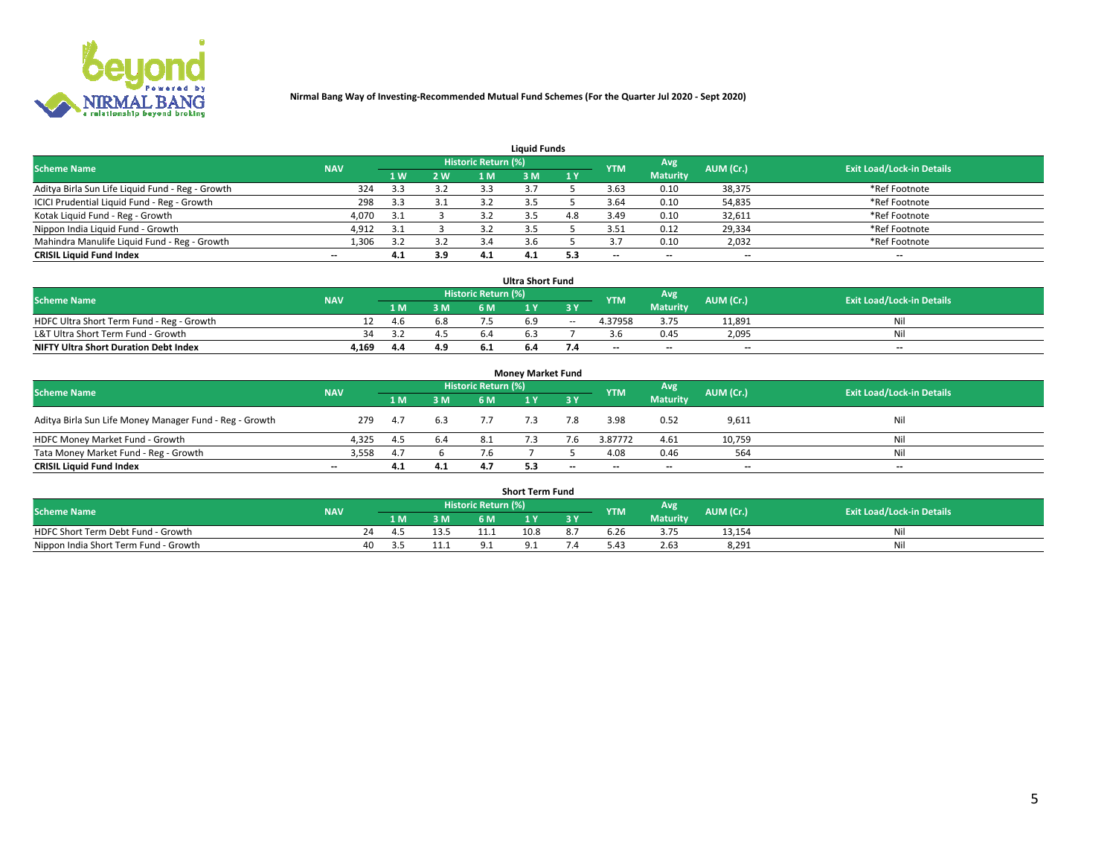

| <b>Liauid Funds</b>                              |            |     |     |                            |     |     |            |                          |           |                                  |  |  |  |  |
|--------------------------------------------------|------------|-----|-----|----------------------------|-----|-----|------------|--------------------------|-----------|----------------------------------|--|--|--|--|
| <b>Scheme Name</b>                               | <b>NAV</b> |     |     | <b>Historic Return (%)</b> |     |     | <b>YTM</b> | Avg                      | AUM (Cr.) | <b>Exit Load/Lock-in Details</b> |  |  |  |  |
|                                                  |            | 1 W | 2 W | 1 M                        | 8 M | 1Y  |            | <b>Maturity</b>          |           |                                  |  |  |  |  |
| Aditya Birla Sun Life Liquid Fund - Reg - Growth | 324        |     | 3.2 | 3.3                        |     |     | 3.63       | 0.10                     | 38,375    | *Ref Footnote                    |  |  |  |  |
| ICICI Prudential Liquid Fund - Reg - Growth      | 298        | 3.3 | 3.1 |                            |     |     | 3.64       | 0.10                     | 54,835    | *Ref Footnote                    |  |  |  |  |
| Kotak Liquid Fund - Reg - Growth                 | 4,070      | 3.1 |     |                            |     | 4.8 | 3.49       | 0.10                     | 32,611    | *Ref Footnote                    |  |  |  |  |
| Nippon India Liquid Fund - Growth                | 4,912      | 3.1 |     |                            |     |     | 3.51       | 0.12                     | 29,334    | *Ref Footnote                    |  |  |  |  |
| Mahindra Manulife Liquid Fund - Reg - Growth     | 1,306      |     | 3.2 |                            |     |     |            | 0.10                     | 2,032     | *Ref Footnote                    |  |  |  |  |
| <b>CRISIL Liquid Fund Index</b>                  | $- -$      | 4.1 | 3.9 | 4.1                        | 4.1 | 5.3 | --         | $\overline{\phantom{a}}$ | --        | $- -$                            |  |  |  |  |

| <b>Ultra Short Fund</b>                                                                                                              |       |      |     |     |  |            |                          |                 |                          |       |  |  |  |  |
|--------------------------------------------------------------------------------------------------------------------------------------|-------|------|-----|-----|--|------------|--------------------------|-----------------|--------------------------|-------|--|--|--|--|
| <b>Historic Return (%)</b><br>Avg<br>AUM (Cr.)<br><b>Scheme Name</b><br><b>Exit Load/Lock-in Details</b><br><b>YTM</b><br><b>NAV</b> |       |      |     |     |  |            |                          |                 |                          |       |  |  |  |  |
|                                                                                                                                      |       | 1 M. | 3 M | 6 M |  | <b>3 Y</b> |                          | <b>Maturity</b> |                          |       |  |  |  |  |
| HDFC Ultra Short Term Fund - Reg - Growth                                                                                            |       | 4.6  | 6.8 |     |  | $\sim$     | 4.37958                  | 3.75            | 11.891                   | Nil   |  |  |  |  |
| L&T Ultra Short Term Fund - Growth                                                                                                   | 34    |      |     | 6.4 |  |            |                          | 0.45            | 2,095                    | Nil   |  |  |  |  |
| <b>NIFTY Ultra Short Duration Debt Index</b>                                                                                         | 4,169 | 4.4  | 4.9 |     |  |            | $\overline{\phantom{a}}$ | $- -$           | $\overline{\phantom{a}}$ | $- -$ |  |  |  |  |

| <b>Money Market Fund</b>                                |                          |     |     |                     |  |       |                          |                 |                          |                                  |  |  |  |  |
|---------------------------------------------------------|--------------------------|-----|-----|---------------------|--|-------|--------------------------|-----------------|--------------------------|----------------------------------|--|--|--|--|
| <b>Scheme Name</b>                                      | <b>NAV</b>               |     |     | Historic Return (%) |  |       | <b>YTM</b>               | Avg             | AUM (Cr.)                | <b>Exit Load/Lock-in Details</b> |  |  |  |  |
|                                                         |                          | 1 M | 3 M | 6 M                 |  | 3 Y   |                          | <b>Maturity</b> |                          |                                  |  |  |  |  |
| Aditya Birla Sun Life Money Manager Fund - Reg - Growth | 279                      | 4.7 | 6.3 |                     |  | 7.8   | 3.98                     | 0.52            | 9,611                    | Nil                              |  |  |  |  |
| HDFC Money Market Fund - Growth                         | 4.325                    | 4.5 | 6.4 |                     |  |       | 3.87772                  | 4.61            | 10,759                   | Nil                              |  |  |  |  |
| Tata Money Market Fund - Reg - Growth                   | 3,558                    |     |     |                     |  |       | 4.08                     | 0.46            | 564                      | Nil                              |  |  |  |  |
| <b>CRISIL Liquid Fund Index</b>                         | $\overline{\phantom{a}}$ | 4.1 | 4.1 |                     |  | $- -$ | $\overline{\phantom{a}}$ | $- -$           | $\overline{\phantom{a}}$ | $\overline{\phantom{a}}$         |  |  |  |  |

| <b>Short Term Fund</b>                |            |          |     |                     |      |    |      |                 |           |                                  |  |  |  |  |
|---------------------------------------|------------|----------|-----|---------------------|------|----|------|-----------------|-----------|----------------------------------|--|--|--|--|
| <b>Scheme Name</b>                    | <b>NAV</b> |          |     | Historic Return (%) |      |    | YTM  | Avg             | AUM (Cr.) | <b>Exit Load/Lock-in Details</b> |  |  |  |  |
|                                       |            | 1 M.     | 3 M | 6 M                 |      | 2V |      | <b>Maturity</b> |           |                                  |  |  |  |  |
| HDFC Short Term Debt Fund - Growth    |            | 24<br>4. |     |                     | 10.8 |    | b.Zb | 3.75            | 13,154    | M                                |  |  |  |  |
| Nippon India Short Term Fund - Growth | 40         |          | .   |                     |      |    | ,42  | 2.63            | 8,291     | N                                |  |  |  |  |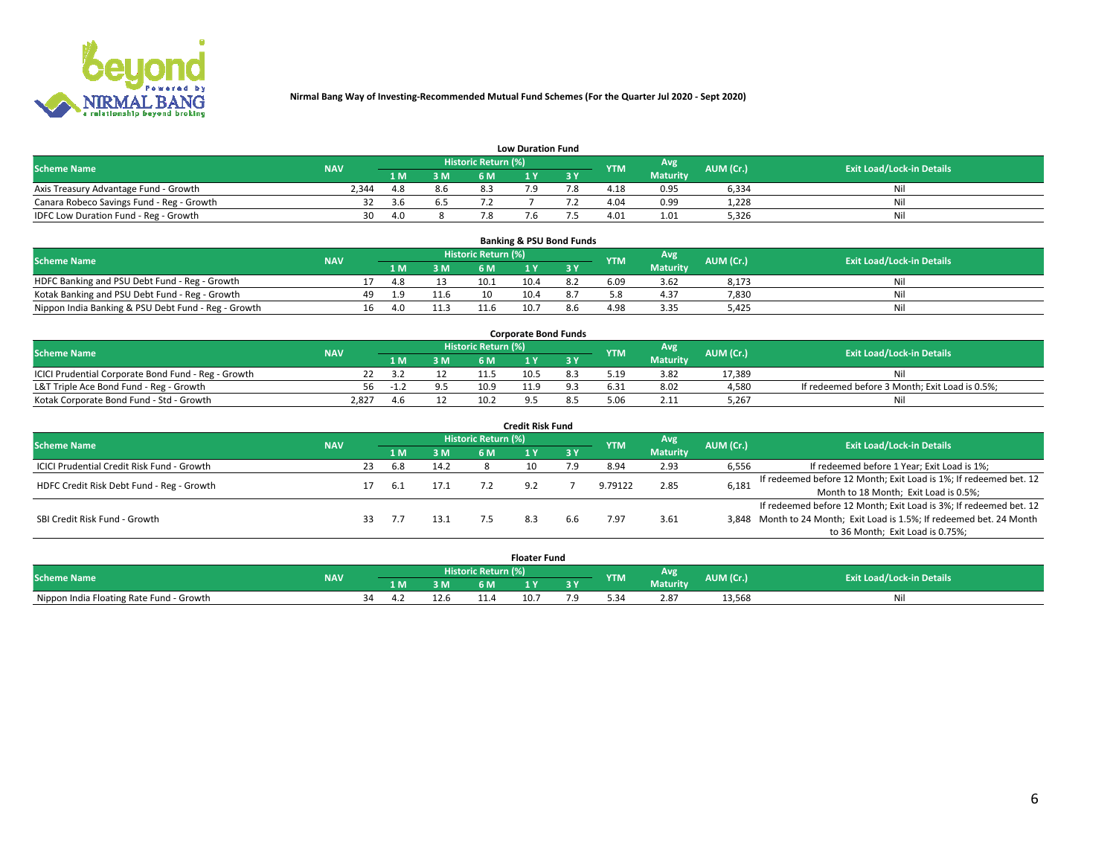

|                                           | <b>Low Duration Fund</b> |     |     |                            |  |     |            |                 |           |                                  |  |  |  |  |  |
|-------------------------------------------|--------------------------|-----|-----|----------------------------|--|-----|------------|-----------------|-----------|----------------------------------|--|--|--|--|--|
| <b>Scheme Name</b>                        | <b>NAV</b>               |     |     | <b>Historic Return (%)</b> |  |     | <b>YTM</b> | Avg             | AUM (Cr.) | <b>Exit Load/Lock-in Details</b> |  |  |  |  |  |
|                                           |                          | 1 M | 3 M |                            |  | 3 Y |            | <b>Maturity</b> |           |                                  |  |  |  |  |  |
| Axis Treasury Advantage Fund - Growth     | 2.344                    | 4.8 | 8.6 |                            |  |     | 4.18       | 0.95            | 6,334     | Nil                              |  |  |  |  |  |
| Canara Robeco Savings Fund - Reg - Growth |                          | 3.6 | 6.5 |                            |  |     | 4.04       | 0.99            | 1,228     | Nil                              |  |  |  |  |  |
| IDFC Low Duration Fund - Reg - Growth     | 30                       | 4.0 |     |                            |  |     | 4.01       | 1.01            | 5,326     | Nil                              |  |  |  |  |  |

| <b>Banking &amp; PSU Bond Funds</b>                 |            |    |     |      |                     |      |  |            |                       |           |                                  |  |  |  |
|-----------------------------------------------------|------------|----|-----|------|---------------------|------|--|------------|-----------------------|-----------|----------------------------------|--|--|--|
| <b>Scheme Name</b>                                  | <b>NAV</b> |    |     |      | Historic Return (%) |      |  | <b>YTM</b> | Avg                   | AUM (Cr.) | <b>Exit Load/Lock-in Details</b> |  |  |  |
|                                                     |            |    |     | 3 M  | 6 M                 |      |  |            | <b>Maturity</b>       |           |                                  |  |  |  |
| HDFC Banking and PSU Debt Fund - Reg - Growth       |            |    | 4.8 |      | 10.1                | 10.4 |  | 6.09       | 3.62                  | 8,173     | Nil                              |  |  |  |
| Kotak Banking and PSU Debt Fund - Reg - Growth      |            | 49 | 1.9 | 11.6 | 10                  | 10.4 |  |            | 4.37                  | 7,830     | Nil                              |  |  |  |
| Nippon India Banking & PSU Debt Fund - Reg - Growth |            | 16 | 4.0 |      |                     | 10.7 |  | 4.98       | $\sim$ $\sim$<br>3.35 | 5,425     | Nil                              |  |  |  |

| <b>Corporate Bond Funds</b>                         |            |      |     |                            |      |  |            |                 |           |                                                |  |  |  |  |
|-----------------------------------------------------|------------|------|-----|----------------------------|------|--|------------|-----------------|-----------|------------------------------------------------|--|--|--|--|
| <b>Scheme Name</b>                                  | <b>NAV</b> |      |     | <b>Historic Return (%)</b> |      |  | <b>YTM</b> | Avg             | AUM (Cr.) | <b>Exit Load/Lock-in Details</b>               |  |  |  |  |
|                                                     |            |      | 3 M | 6 M                        |      |  |            | <b>Maturity</b> |           |                                                |  |  |  |  |
| ICICI Prudential Corporate Bond Fund - Reg - Growth |            |      |     |                            | 10.5 |  | 5.19       | 3.82            | 17.389    | Nil                                            |  |  |  |  |
| L&T Triple Ace Bond Fund - Reg - Growth             | 56         | - 11 |     | 10.9                       |      |  | 6.31       | 8.02            | 4,580     | If redeemed before 3 Month; Exit Load is 0.5%; |  |  |  |  |
| Kotak Corporate Bond Fund - Std - Growth            | 2,827      |      |     | 10.2                       |      |  |            | 2.11            | 5,267     | Nil                                            |  |  |  |  |

| <b>Credit Risk Fund</b>                    |            |    |     |      |                            |     |           |            |                 |           |                                                                       |  |  |  |
|--------------------------------------------|------------|----|-----|------|----------------------------|-----|-----------|------------|-----------------|-----------|-----------------------------------------------------------------------|--|--|--|
| <b>Scheme Name</b>                         | <b>NAV</b> |    |     |      | <b>Historic Return (%)</b> |     |           | <b>YTM</b> | <b>Avg</b>      | AUM (Cr.) | <b>Exit Load/Lock-in Details</b>                                      |  |  |  |
|                                            |            |    | 1 M | 3 M  | 6 M                        |     | <b>3Y</b> |            | <b>Maturity</b> |           |                                                                       |  |  |  |
| ICICI Prudential Credit Risk Fund - Growth |            | 23 | 6.8 | 14.2 |                            | 10  | ם ל       | 8.94       | 2.93            | 6,556     | If redeemed before 1 Year; Exit Load is 1%;                           |  |  |  |
| HDFC Credit Risk Debt Fund - Reg - Growth  |            |    | 6.1 | 17.1 |                            | ີດາ |           | 9.79122    | 2.85            | 6,181     | If redeemed before 12 Month; Exit Load is 1%; If redeemed bet. 12     |  |  |  |
|                                            |            |    |     |      |                            |     |           |            |                 |           | Month to 18 Month; Exit Load is 0.5%;                                 |  |  |  |
|                                            |            |    |     |      |                            |     |           |            |                 |           | If redeemed before 12 Month; Exit Load is 3%; If redeemed bet. 12     |  |  |  |
| SBI Credit Risk Fund - Growth              |            |    |     | 13.1 |                            |     | 6.6       | 7.97       | 3.61            |           | 3,848 Month to 24 Month; Exit Load is 1.5%; If redeemed bet. 24 Month |  |  |  |
|                                            |            |    |     |      |                            |     |           |            |                 |           | to 36 Month; Exit Load is 0.75%;                                      |  |  |  |

| <b>Floater Fund</b>                      |            |    |     |    |                     |      |   |            |                 |           |                                  |
|------------------------------------------|------------|----|-----|----|---------------------|------|---|------------|-----------------|-----------|----------------------------------|
| <b>Scheme Name</b>                       | <b>NAV</b> |    |     |    | Historic Return (%) |      |   | <b>YTM</b> | Avg             | AUM (Cr.) | <b>Exit Load/Lock-in Details</b> |
|                                          |            |    | 1 M | ЗM | 6 M                 | - 17 | . |            | <b>Maturity</b> |           |                                  |
| Nippon India Floating Rate Fund - Growth |            | 54 |     |    |                     | 10.7 |   |            | 2.87            | 13,568    | NL                               |